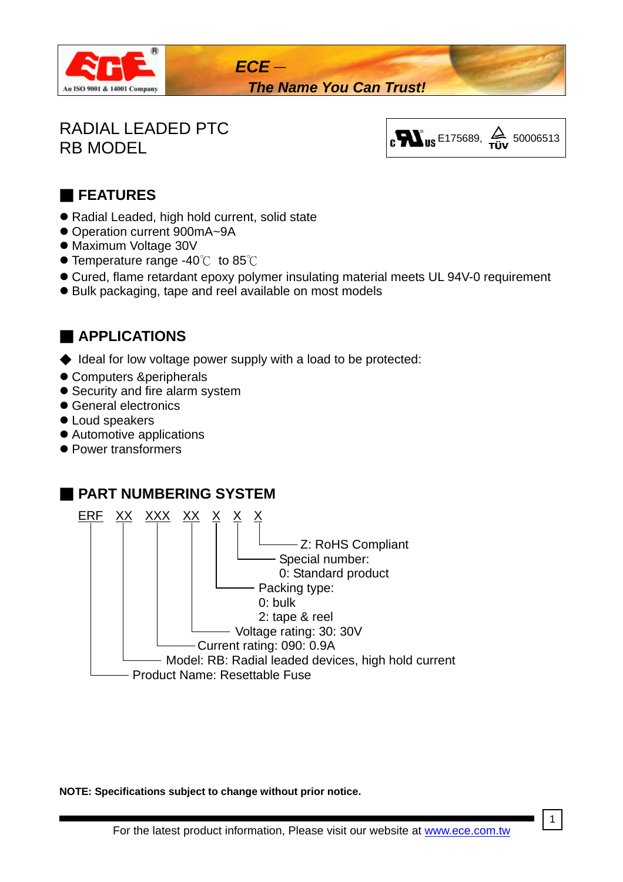

*The Name You Can Trust!*

# RADIAL LEADED PTC



## ■ **FEATURES**

- Radial Leaded, high hold current, solid state
- Operation current 900mA~9A
- Maximum Voltage 30V
- $\bullet$  Temperature range -40℃ to 85℃
- $\bullet$  Cured, flame retardant epoxy polymer insulating material meets UL 94V-0 requirement
- Bulk packaging, tape and reel available on most models

## ■ **APPLICATIONS**

◆ Ideal for low voltage power supply with a load to be protected:

*ECE*-

- Computers &peripherals
- Security and fire alarm system
- **General electronics**
- Loud speakers
- Automotive applications
- Power transformers



**NOTE: Specifications subject to change without prior notice.** 

1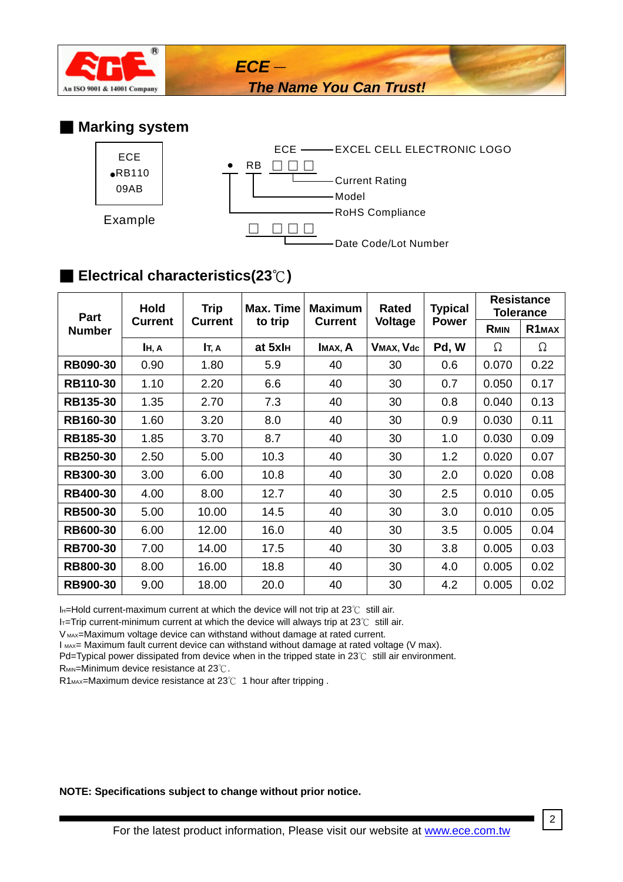

*The Name You Can Trust!*

#### ■ **Marking system**



*ECE*-

## ■ **Electrical characteristics(23**℃**)**

| Part<br><b>Number</b> | <b>Hold</b><br><b>Current</b> | <b>Trip</b><br><b>Current</b> | Max. Time<br>to trip | <b>Maximum</b><br><b>Current</b> | <b>Rated</b><br>Voltage | <b>Typical</b><br><b>Power</b> | <b>Resistance</b><br><b>Tolerance</b> |                    |
|-----------------------|-------------------------------|-------------------------------|----------------------|----------------------------------|-------------------------|--------------------------------|---------------------------------------|--------------------|
|                       |                               |                               |                      |                                  |                         |                                | <b>RMIN</b>                           | R <sub>1</sub> MAX |
|                       | IH, A                         | It, a                         | at 5xl <sub>H</sub>  | IMAX, A                          | VMAX, Vdc               | Pd, W                          | Ω                                     | Ω                  |
| <b>RB090-30</b>       | 0.90                          | 1.80                          | 5.9                  | 40                               | 30                      | 0.6                            | 0.070                                 | 0.22               |
| <b>RB110-30</b>       | 1.10                          | 2.20                          | 6.6                  | 40                               | 30                      | 0.7                            | 0.050                                 | 0.17               |
| <b>RB135-30</b>       | 1.35                          | 2.70                          | 7.3                  | 40                               | 30                      | 0.8                            | 0.040                                 | 0.13               |
| <b>RB160-30</b>       | 1.60                          | 3.20                          | 8.0                  | 40                               | 30                      | 0.9                            | 0.030                                 | 0.11               |
| <b>RB185-30</b>       | 1.85                          | 3.70                          | 8.7                  | 40                               | 30                      | 1.0                            | 0.030                                 | 0.09               |
| <b>RB250-30</b>       | 2.50                          | 5.00                          | 10.3                 | 40                               | 30                      | 1.2                            | 0.020                                 | 0.07               |
| <b>RB300-30</b>       | 3.00                          | 6.00                          | 10.8                 | 40                               | 30                      | 2.0                            | 0.020                                 | 0.08               |
| <b>RB400-30</b>       | 4.00                          | 8.00                          | 12.7                 | 40                               | 30                      | 2.5                            | 0.010                                 | 0.05               |
| <b>RB500-30</b>       | 5.00                          | 10.00                         | 14.5                 | 40                               | 30                      | 3.0                            | 0.010                                 | 0.05               |
| <b>RB600-30</b>       | 6.00                          | 12.00                         | 16.0                 | 40                               | 30                      | 3.5                            | 0.005                                 | 0.04               |
| <b>RB700-30</b>       | 7.00                          | 14.00                         | 17.5                 | 40                               | 30                      | 3.8                            | 0.005                                 | 0.03               |
| <b>RB800-30</b>       | 8.00                          | 16.00                         | 18.8                 | 40                               | 30                      | 4.0                            | 0.005                                 | 0.02               |
| <b>RB900-30</b>       | 9.00                          | 18.00                         | 20.0                 | 40                               | 30                      | 4.2                            | 0.005                                 | 0.02               |

IH=Hold current-maximum current at which the device will not trip at 23℃ still air.

IT=Trip current-minimum current at which the device will always trip at 23℃ still air.

V MAX=Maximum voltage device can withstand without damage at rated current.

I MAX= Maximum fault current device can withstand without damage at rated voltage (V max).

Pd=Typical power dissipated from device when in the tripped state in 23℃ still air environment.

R<sub>MIN</sub>=Minimum device resistance at 23℃.

R1<sub>MAX</sub>=Maximum device resistance at 23℃ 1 hour after tripping.

**NOTE: Specifications subject to change without prior notice.** 

2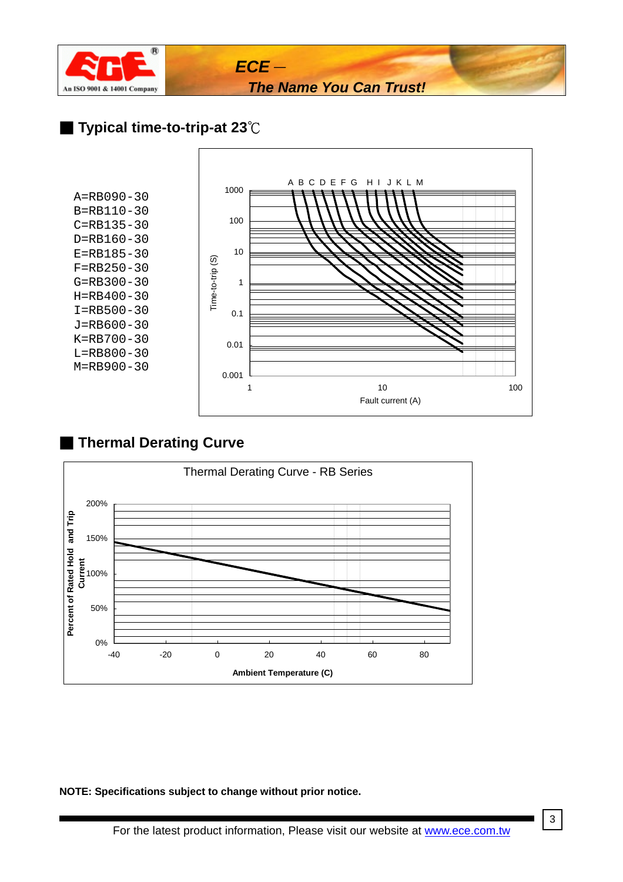

### ■ **Typical time-to-trip-at 23**℃

A=RB090-30 B=RB110-30 C=RB135-30 D=RB160-30 E=RB185-30 F=RB250-30 G=RB300-30 H=RB400-30 I=RB500-30 J=RB600-30 K=RB700-30 L=RB800-30 M=RB900-30



## ■ **Thermal Derating Curve**



**NOTE: Specifications subject to change without prior notice.**